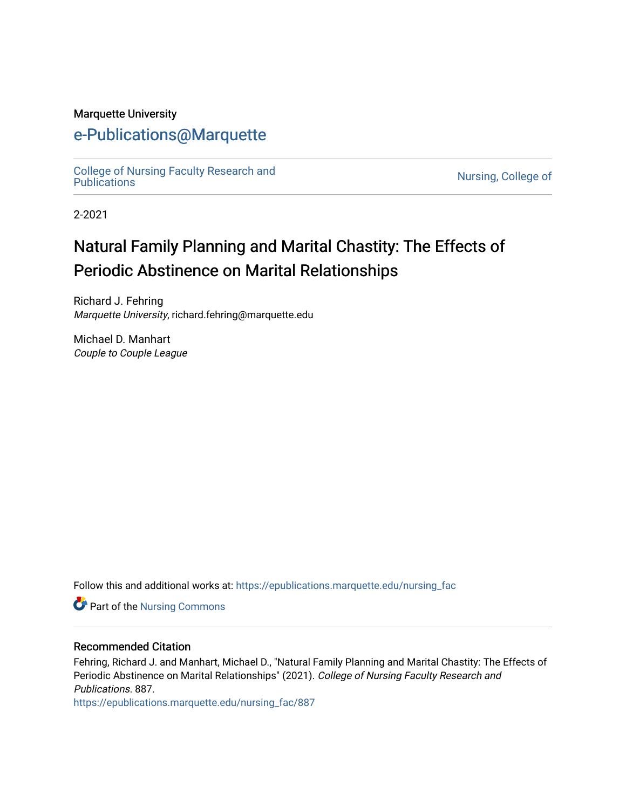#### Marquette University

# [e-Publications@Marquette](https://epublications.marquette.edu/)

[College of Nursing Faculty Research and](https://epublications.marquette.edu/nursing_fac)<br>Publications

Nursing, College of

2-2021

# Natural Family Planning and Marital Chastity: The Effects of Periodic Abstinence on Marital Relationships

Richard J. Fehring Marquette University, richard.fehring@marquette.edu

Michael D. Manhart Couple to Couple League

Follow this and additional works at: [https://epublications.marquette.edu/nursing\\_fac](https://epublications.marquette.edu/nursing_fac?utm_source=epublications.marquette.edu%2Fnursing_fac%2F887&utm_medium=PDF&utm_campaign=PDFCoverPages)

**Part of the Nursing Commons** 

#### Recommended Citation

Fehring, Richard J. and Manhart, Michael D., "Natural Family Planning and Marital Chastity: The Effects of Periodic Abstinence on Marital Relationships" (2021). College of Nursing Faculty Research and Publications. 887.

[https://epublications.marquette.edu/nursing\\_fac/887](https://epublications.marquette.edu/nursing_fac/887?utm_source=epublications.marquette.edu%2Fnursing_fac%2F887&utm_medium=PDF&utm_campaign=PDFCoverPages)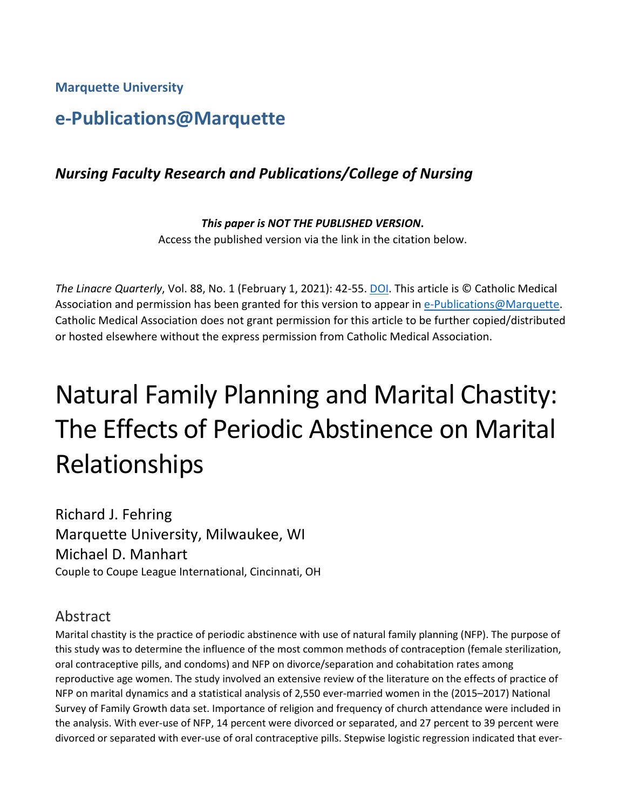**Marquette University**

# **e-Publications@Marquette**

## *Nursing Faculty Research and Publications/College of Nursing*

*This paper is NOT THE PUBLISHED VERSION***.**  Access the published version via the link in the citation below.

*The Linacre Quarterly*, Vol. 88, No. 1 (February 1, 2021): 42-55. [DOI.](https://0-doi-org.libus.csd.mu.edu/10.1177%2F0024363920930875) This article is © Catholic Medical Association and permission has been granted for this version to appear in [e-Publications@Marquette.](http://epublications.marquette.edu/) Catholic Medical Association does not grant permission for this article to be further copied/distributed or hosted elsewhere without the express permission from Catholic Medical Association.

# Natural Family Planning and Marital Chastity: The Effects of Periodic Abstinence on Marital Relationships

Richard J. Fehring Marquette University, Milwaukee, WI Michael D. Manhart Couple to Coupe League International, Cincinnati, OH

### Abstract

Marital chastity is the practice of periodic abstinence with use of natural family planning (NFP). The purpose of this study was to determine the influence of the most common methods of contraception (female sterilization, oral contraceptive pills, and condoms) and NFP on divorce/separation and cohabitation rates among reproductive age women. The study involved an extensive review of the literature on the effects of practice of NFP on marital dynamics and a statistical analysis of 2,550 ever-married women in the (2015–2017) National Survey of Family Growth data set. Importance of religion and frequency of church attendance were included in the analysis. With ever-use of NFP, 14 percent were divorced or separated, and 27 percent to 39 percent were divorced or separated with ever-use of oral contraceptive pills. Stepwise logistic regression indicated that ever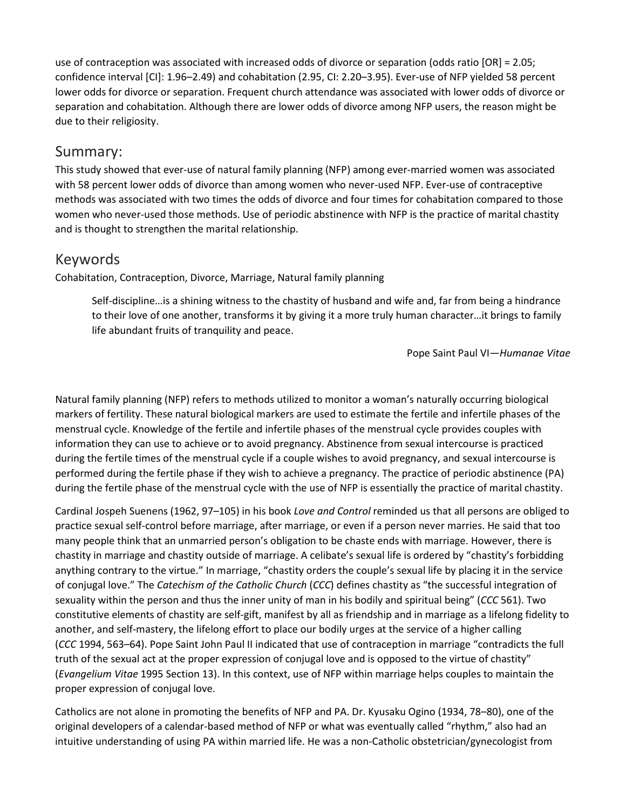use of contraception was associated with increased odds of divorce or separation (odds ratio [OR] = 2.05; confidence interval [CI]: 1.96–2.49) and cohabitation (2.95, CI: 2.20–3.95). Ever-use of NFP yielded 58 percent lower odds for divorce or separation. Frequent church attendance was associated with lower odds of divorce or separation and cohabitation. Although there are lower odds of divorce among NFP users, the reason might be due to their religiosity.

#### Summary:

This study showed that ever-use of natural family planning (NFP) among ever-married women was associated with 58 percent lower odds of divorce than among women who never-used NFP. Ever-use of contraceptive methods was associated with two times the odds of divorce and four times for cohabitation compared to those women who never-used those methods. Use of periodic abstinence with NFP is the practice of marital chastity and is thought to strengthen the marital relationship.

### Keywords

Cohabitation, Contraception, Divorce, Marriage, Natural family planning

Self-discipline…is a shining witness to the chastity of husband and wife and, far from being a hindrance to their love of one another, transforms it by giving it a more truly human character…it brings to family life abundant fruits of tranquility and peace.

Pope Saint Paul VI—*Humanae Vitae*

Natural family planning (NFP) refers to methods utilized to monitor a woman's naturally occurring biological markers of fertility. These natural biological markers are used to estimate the fertile and infertile phases of the menstrual cycle. Knowledge of the fertile and infertile phases of the menstrual cycle provides couples with information they can use to achieve or to avoid pregnancy. Abstinence from sexual intercourse is practiced during the fertile times of the menstrual cycle if a couple wishes to avoid pregnancy, and sexual intercourse is performed during the fertile phase if they wish to achieve a pregnancy. The practice of periodic abstinence (PA) during the fertile phase of the menstrual cycle with the use of NFP is essentially the practice of marital chastity.

Cardinal Jospeh Suenens (1962, 97–105) in his book *Love and Control* reminded us that all persons are obliged to practice sexual self-control before marriage, after marriage, or even if a person never marries. He said that too many people think that an unmarried person's obligation to be chaste ends with marriage. However, there is chastity in marriage and chastity outside of marriage. A celibate's sexual life is ordered by "chastity's forbidding anything contrary to the virtue." In marriage, "chastity orders the couple's sexual life by placing it in the service of conjugal love." The *Catechism of the Catholic Church* (*CCC*) defines chastity as "the successful integration of sexuality within the person and thus the inner unity of man in his bodily and spiritual being" (*CCC* 561). Two constitutive elements of chastity are self-gift, manifest by all as friendship and in marriage as a lifelong fidelity to another, and self-mastery, the lifelong effort to place our bodily urges at the service of a higher calling (*CCC* 1994, 563–64). Pope Saint John Paul II indicated that use of contraception in marriage "contradicts the full truth of the sexual act at the proper expression of conjugal love and is opposed to the virtue of chastity" (*Evangelium Vitae* 1995 Section 13). In this context, use of NFP within marriage helps couples to maintain the proper expression of conjugal love.

Catholics are not alone in promoting the benefits of NFP and PA. Dr. Kyusaku Ogino (1934, 78–80), one of the original developers of a calendar-based method of NFP or what was eventually called "rhythm," also had an intuitive understanding of using PA within married life. He was a non-Catholic obstetrician/gynecologist from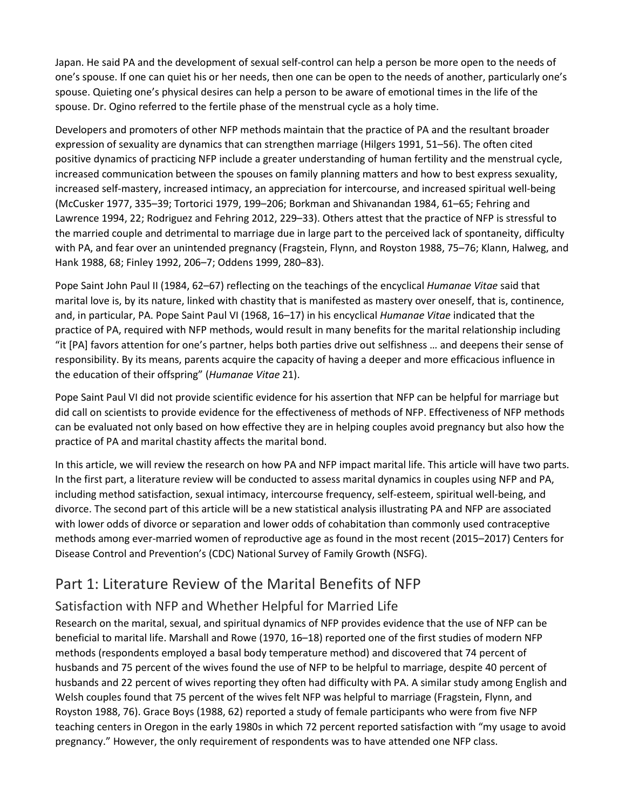Japan. He said PA and the development of sexual self-control can help a person be more open to the needs of one's spouse. If one can quiet his or her needs, then one can be open to the needs of another, particularly one's spouse. Quieting one's physical desires can help a person to be aware of emotional times in the life of the spouse. Dr. Ogino referred to the fertile phase of the menstrual cycle as a holy time.

Developers and promoters of other NFP methods maintain that the practice of PA and the resultant broader expression of sexuality are dynamics that can strengthen marriage (Hilgers 1991, 51–56). The often cited positive dynamics of practicing NFP include a greater understanding of human fertility and the menstrual cycle, increased communication between the spouses on family planning matters and how to best express sexuality, increased self-mastery, increased intimacy, an appreciation for intercourse, and increased spiritual well-being (McCusker 1977, 335–39; Tortorici 1979, 199–206; Borkman and Shivanandan 1984, 61–65; Fehring and Lawrence 1994, 22; Rodriguez and Fehring 2012, 229–33). Others attest that the practice of NFP is stressful to the married couple and detrimental to marriage due in large part to the perceived lack of spontaneity, difficulty with PA, and fear over an unintended pregnancy (Fragstein, Flynn, and Royston 1988, 75–76; Klann, Halweg, and Hank 1988, 68; Finley 1992, 206–7; Oddens 1999, 280–83).

Pope Saint John Paul II (1984, 62–67) reflecting on the teachings of the encyclical *Humanae Vitae* said that marital love is, by its nature, linked with chastity that is manifested as mastery over oneself, that is, continence, and, in particular, PA. Pope Saint Paul VI (1968, 16–17) in his encyclical *Humanae Vitae* indicated that the practice of PA, required with NFP methods, would result in many benefits for the marital relationship including "it [PA] favors attention for one's partner, helps both parties drive out selfishness … and deepens their sense of responsibility. By its means, parents acquire the capacity of having a deeper and more efficacious influence in the education of their offspring" (*Humanae Vitae* 21).

Pope Saint Paul VI did not provide scientific evidence for his assertion that NFP can be helpful for marriage but did call on scientists to provide evidence for the effectiveness of methods of NFP. Effectiveness of NFP methods can be evaluated not only based on how effective they are in helping couples avoid pregnancy but also how the practice of PA and marital chastity affects the marital bond.

In this article, we will review the research on how PA and NFP impact marital life. This article will have two parts. In the first part, a literature review will be conducted to assess marital dynamics in couples using NFP and PA, including method satisfaction, sexual intimacy, intercourse frequency, self-esteem, spiritual well-being, and divorce. The second part of this article will be a new statistical analysis illustrating PA and NFP are associated with lower odds of divorce or separation and lower odds of cohabitation than commonly used contraceptive methods among ever-married women of reproductive age as found in the most recent (2015–2017) Centers for Disease Control and Prevention's (CDC) National Survey of Family Growth (NSFG).

# Part 1: Literature Review of the Marital Benefits of NFP

### Satisfaction with NFP and Whether Helpful for Married Life

Research on the marital, sexual, and spiritual dynamics of NFP provides evidence that the use of NFP can be beneficial to marital life. Marshall and Rowe (1970, 16–18) reported one of the first studies of modern NFP methods (respondents employed a basal body temperature method) and discovered that 74 percent of husbands and 75 percent of the wives found the use of NFP to be helpful to marriage, despite 40 percent of husbands and 22 percent of wives reporting they often had difficulty with PA. A similar study among English and Welsh couples found that 75 percent of the wives felt NFP was helpful to marriage (Fragstein, Flynn, and Royston 1988, 76). Grace Boys (1988, 62) reported a study of female participants who were from five NFP teaching centers in Oregon in the early 1980s in which 72 percent reported satisfaction with "my usage to avoid pregnancy." However, the only requirement of respondents was to have attended one NFP class.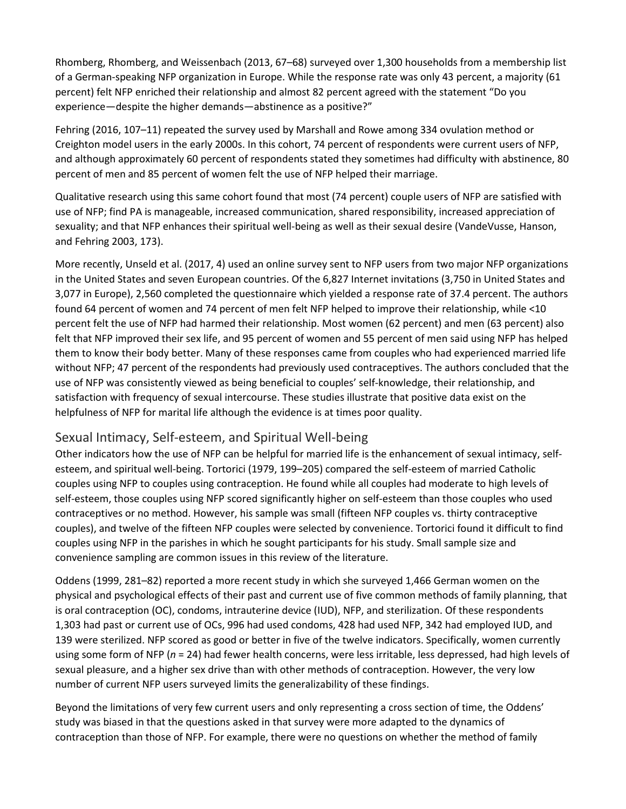Rhomberg, Rhomberg, and Weissenbach (2013, 67–68) surveyed over 1,300 households from a membership list of a German-speaking NFP organization in Europe. While the response rate was only 43 percent, a majority (61 percent) felt NFP enriched their relationship and almost 82 percent agreed with the statement "Do you experience—despite the higher demands—abstinence as a positive?"

Fehring (2016, 107–11) repeated the survey used by Marshall and Rowe among 334 ovulation method or Creighton model users in the early 2000s. In this cohort, 74 percent of respondents were current users of NFP, and although approximately 60 percent of respondents stated they sometimes had difficulty with abstinence, 80 percent of men and 85 percent of women felt the use of NFP helped their marriage.

Qualitative research using this same cohort found that most (74 percent) couple users of NFP are satisfied with use of NFP; find PA is manageable, increased communication, shared responsibility, increased appreciation of sexuality; and that NFP enhances their spiritual well-being as well as their sexual desire (VandeVusse, Hanson, and Fehring 2003, 173).

More recently, Unseld et al. (2017, 4) used an online survey sent to NFP users from two major NFP organizations in the United States and seven European countries. Of the 6,827 Internet invitations (3,750 in United States and 3,077 in Europe), 2,560 completed the questionnaire which yielded a response rate of 37.4 percent. The authors found 64 percent of women and 74 percent of men felt NFP helped to improve their relationship, while <10 percent felt the use of NFP had harmed their relationship. Most women (62 percent) and men (63 percent) also felt that NFP improved their sex life, and 95 percent of women and 55 percent of men said using NFP has helped them to know their body better. Many of these responses came from couples who had experienced married life without NFP; 47 percent of the respondents had previously used contraceptives. The authors concluded that the use of NFP was consistently viewed as being beneficial to couples' self-knowledge, their relationship, and satisfaction with frequency of sexual intercourse. These studies illustrate that positive data exist on the helpfulness of NFP for marital life although the evidence is at times poor quality.

### Sexual Intimacy, Self-esteem, and Spiritual Well-being

Other indicators how the use of NFP can be helpful for married life is the enhancement of sexual intimacy, selfesteem, and spiritual well-being. Tortorici (1979, 199–205) compared the self-esteem of married Catholic couples using NFP to couples using contraception. He found while all couples had moderate to high levels of self-esteem, those couples using NFP scored significantly higher on self-esteem than those couples who used contraceptives or no method. However, his sample was small (fifteen NFP couples vs. thirty contraceptive couples), and twelve of the fifteen NFP couples were selected by convenience. Tortorici found it difficult to find couples using NFP in the parishes in which he sought participants for his study. Small sample size and convenience sampling are common issues in this review of the literature.

Oddens (1999, 281–82) reported a more recent study in which she surveyed 1,466 German women on the physical and psychological effects of their past and current use of five common methods of family planning, that is oral contraception (OC), condoms, intrauterine device (IUD), NFP, and sterilization. Of these respondents 1,303 had past or current use of OCs, 996 had used condoms, 428 had used NFP, 342 had employed IUD, and 139 were sterilized. NFP scored as good or better in five of the twelve indicators. Specifically, women currently using some form of NFP (*n* = 24) had fewer health concerns, were less irritable, less depressed, had high levels of sexual pleasure, and a higher sex drive than with other methods of contraception. However, the very low number of current NFP users surveyed limits the generalizability of these findings.

Beyond the limitations of very few current users and only representing a cross section of time, the Oddens' study was biased in that the questions asked in that survey were more adapted to the dynamics of contraception than those of NFP. For example, there were no questions on whether the method of family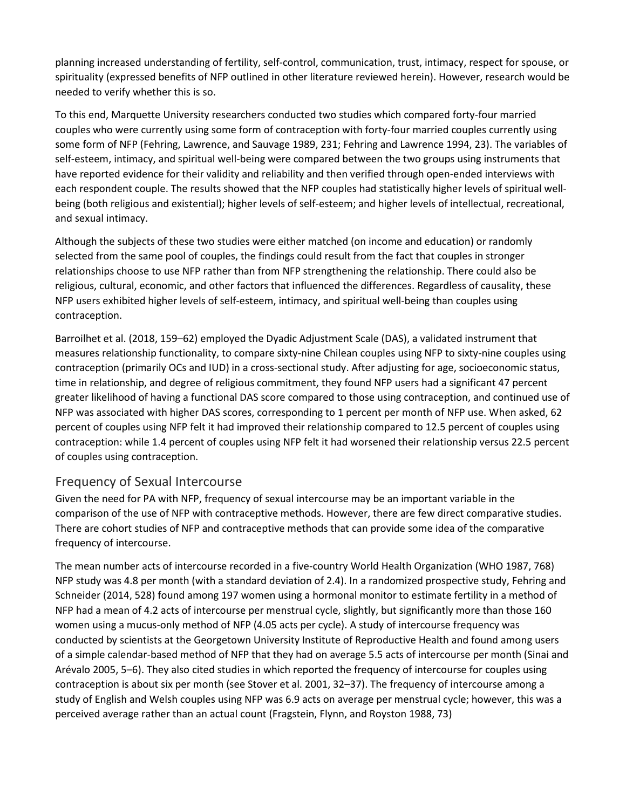planning increased understanding of fertility, self-control, communication, trust, intimacy, respect for spouse, or spirituality (expressed benefits of NFP outlined in other literature reviewed herein). However, research would be needed to verify whether this is so.

To this end, Marquette University researchers conducted two studies which compared forty-four married couples who were currently using some form of contraception with forty-four married couples currently using some form of NFP (Fehring, Lawrence, and Sauvage 1989, 231; Fehring and Lawrence 1994, 23). The variables of self-esteem, intimacy, and spiritual well-being were compared between the two groups using instruments that have reported evidence for their validity and reliability and then verified through open-ended interviews with each respondent couple. The results showed that the NFP couples had statistically higher levels of spiritual wellbeing (both religious and existential); higher levels of self-esteem; and higher levels of intellectual, recreational, and sexual intimacy.

Although the subjects of these two studies were either matched (on income and education) or randomly selected from the same pool of couples, the findings could result from the fact that couples in stronger relationships choose to use NFP rather than from NFP strengthening the relationship. There could also be religious, cultural, economic, and other factors that influenced the differences. Regardless of causality, these NFP users exhibited higher levels of self-esteem, intimacy, and spiritual well-being than couples using contraception.

Barroilhet et al. (2018, 159–62) employed the Dyadic Adjustment Scale (DAS), a validated instrument that measures relationship functionality, to compare sixty-nine Chilean couples using NFP to sixty-nine couples using contraception (primarily OCs and IUD) in a cross-sectional study. After adjusting for age, socioeconomic status, time in relationship, and degree of religious commitment, they found NFP users had a significant 47 percent greater likelihood of having a functional DAS score compared to those using contraception, and continued use of NFP was associated with higher DAS scores, corresponding to 1 percent per month of NFP use. When asked, 62 percent of couples using NFP felt it had improved their relationship compared to 12.5 percent of couples using contraception: while 1.4 percent of couples using NFP felt it had worsened their relationship versus 22.5 percent of couples using contraception.

#### Frequency of Sexual Intercourse

Given the need for PA with NFP, frequency of sexual intercourse may be an important variable in the comparison of the use of NFP with contraceptive methods. However, there are few direct comparative studies. There are cohort studies of NFP and contraceptive methods that can provide some idea of the comparative frequency of intercourse.

The mean number acts of intercourse recorded in a five-country World Health Organization (WHO 1987, 768) NFP study was 4.8 per month (with a standard deviation of 2.4). In a randomized prospective study, Fehring and Schneider (2014, 528) found among 197 women using a hormonal monitor to estimate fertility in a method of NFP had a mean of 4.2 acts of intercourse per menstrual cycle, slightly, but significantly more than those 160 women using a mucus-only method of NFP (4.05 acts per cycle). A study of intercourse frequency was conducted by scientists at the Georgetown University Institute of Reproductive Health and found among users of a simple calendar-based method of NFP that they had on average 5.5 acts of intercourse per month (Sinai and Arévalo 2005, 5–6). They also cited studies in which reported the frequency of intercourse for couples using contraception is about six per month (see Stover et al. 2001, 32–37). The frequency of intercourse among a study of English and Welsh couples using NFP was 6.9 acts on average per menstrual cycle; however, this was a perceived average rather than an actual count (Fragstein, Flynn, and Royston 1988, 73)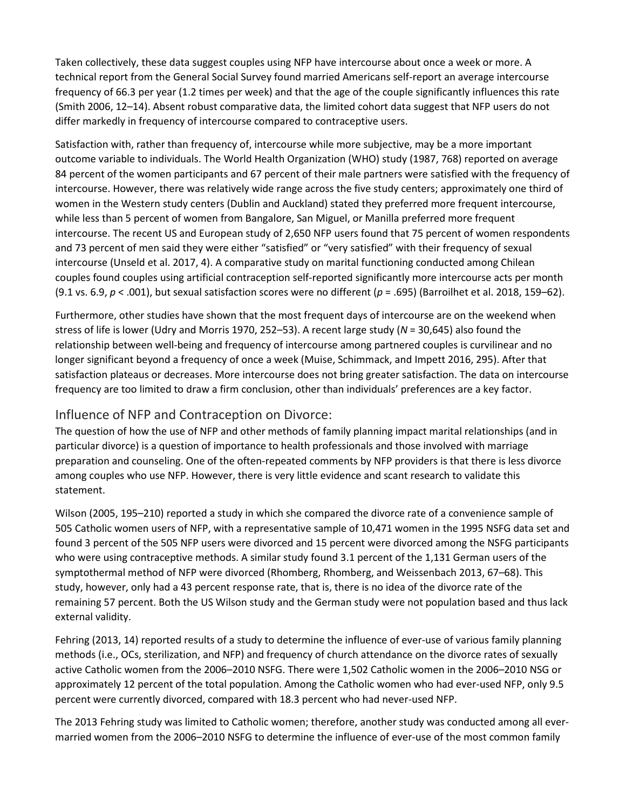Taken collectively, these data suggest couples using NFP have intercourse about once a week or more. A technical report from the General Social Survey found married Americans self-report an average intercourse frequency of 66.3 per year (1.2 times per week) and that the age of the couple significantly influences this rate (Smith 2006, 12–14). Absent robust comparative data, the limited cohort data suggest that NFP users do not differ markedly in frequency of intercourse compared to contraceptive users.

Satisfaction with, rather than frequency of, intercourse while more subjective, may be a more important outcome variable to individuals. The World Health Organization (WHO) study (1987, 768) reported on average 84 percent of the women participants and 67 percent of their male partners were satisfied with the frequency of intercourse. However, there was relatively wide range across the five study centers; approximately one third of women in the Western study centers (Dublin and Auckland) stated they preferred more frequent intercourse, while less than 5 percent of women from Bangalore, San Miguel, or Manilla preferred more frequent intercourse. The recent US and European study of 2,650 NFP users found that 75 percent of women respondents and 73 percent of men said they were either "satisfied" or "very satisfied" with their frequency of sexual intercourse (Unseld et al. 2017, 4). A comparative study on marital functioning conducted among Chilean couples found couples using artificial contraception self-reported significantly more intercourse acts per month (9.1 vs. 6.9, *p* < .001), but sexual satisfaction scores were no different (*p* = .695) (Barroilhet et al. 2018, 159–62).

Furthermore, other studies have shown that the most frequent days of intercourse are on the weekend when stress of life is lower (Udry and Morris 1970, 252–53). A recent large study (*N* = 30,645) also found the relationship between well-being and frequency of intercourse among partnered couples is curvilinear and no longer significant beyond a frequency of once a week (Muise, Schimmack, and Impett 2016, 295). After that satisfaction plateaus or decreases. More intercourse does not bring greater satisfaction. The data on intercourse frequency are too limited to draw a firm conclusion, other than individuals' preferences are a key factor.

#### Influence of NFP and Contraception on Divorce:

The question of how the use of NFP and other methods of family planning impact marital relationships (and in particular divorce) is a question of importance to health professionals and those involved with marriage preparation and counseling. One of the often-repeated comments by NFP providers is that there is less divorce among couples who use NFP. However, there is very little evidence and scant research to validate this statement.

Wilson (2005, 195–210) reported a study in which she compared the divorce rate of a convenience sample of 505 Catholic women users of NFP, with a representative sample of 10,471 women in the 1995 NSFG data set and found 3 percent of the 505 NFP users were divorced and 15 percent were divorced among the NSFG participants who were using contraceptive methods. A similar study found 3.1 percent of the 1,131 German users of the symptothermal method of NFP were divorced (Rhomberg, Rhomberg, and Weissenbach 2013, 67–68). This study, however, only had a 43 percent response rate, that is, there is no idea of the divorce rate of the remaining 57 percent. Both the US Wilson study and the German study were not population based and thus lack external validity.

Fehring (2013, 14) reported results of a study to determine the influence of ever-use of various family planning methods (i.e., OCs, sterilization, and NFP) and frequency of church attendance on the divorce rates of sexually active Catholic women from the 2006–2010 NSFG. There were 1,502 Catholic women in the 2006–2010 NSG or approximately 12 percent of the total population. Among the Catholic women who had ever-used NFP, only 9.5 percent were currently divorced, compared with 18.3 percent who had never-used NFP.

The 2013 Fehring study was limited to Catholic women; therefore, another study was conducted among all evermarried women from the 2006–2010 NSFG to determine the influence of ever-use of the most common family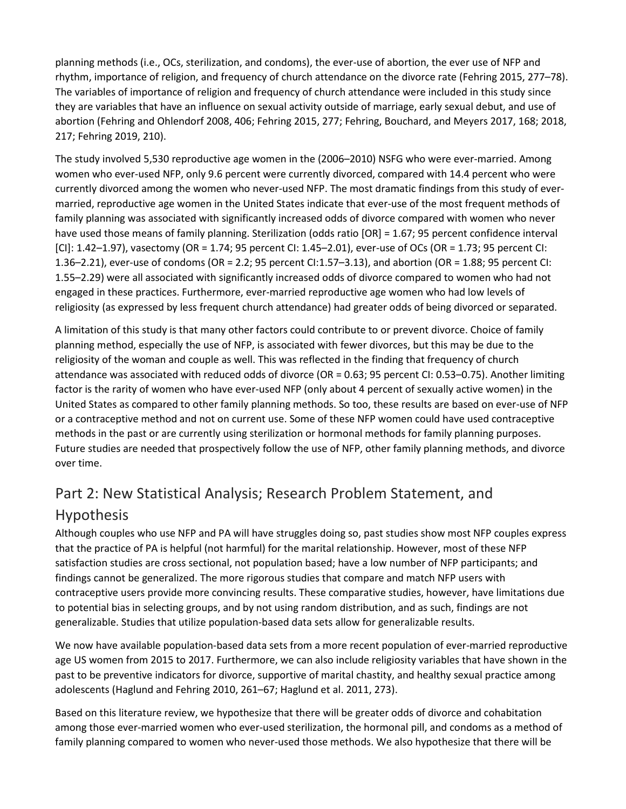planning methods (i.e., OCs, sterilization, and condoms), the ever-use of abortion, the ever use of NFP and rhythm, importance of religion, and frequency of church attendance on the divorce rate (Fehring 2015, 277–78). The variables of importance of religion and frequency of church attendance were included in this study since they are variables that have an influence on sexual activity outside of marriage, early sexual debut, and use of abortion (Fehring and Ohlendorf 2008, 406; Fehring 2015, 277; Fehring, Bouchard, and Meyers 2017, 168; 2018, 217; Fehring 2019, 210).

The study involved 5,530 reproductive age women in the (2006–2010) NSFG who were ever-married. Among women who ever-used NFP, only 9.6 percent were currently divorced, compared with 14.4 percent who were currently divorced among the women who never-used NFP. The most dramatic findings from this study of evermarried, reproductive age women in the United States indicate that ever-use of the most frequent methods of family planning was associated with significantly increased odds of divorce compared with women who never have used those means of family planning. Sterilization (odds ratio [OR] = 1.67; 95 percent confidence interval [CI]: 1.42–1.97), vasectomy (OR = 1.74; 95 percent CI: 1.45–2.01), ever-use of OCs (OR = 1.73; 95 percent CI: 1.36–2.21), ever-use of condoms (OR = 2.2; 95 percent CI:1.57–3.13), and abortion (OR = 1.88; 95 percent CI: 1.55–2.29) were all associated with significantly increased odds of divorce compared to women who had not engaged in these practices. Furthermore, ever-married reproductive age women who had low levels of religiosity (as expressed by less frequent church attendance) had greater odds of being divorced or separated.

A limitation of this study is that many other factors could contribute to or prevent divorce. Choice of family planning method, especially the use of NFP, is associated with fewer divorces, but this may be due to the religiosity of the woman and couple as well. This was reflected in the finding that frequency of church attendance was associated with reduced odds of divorce (OR = 0.63; 95 percent CI: 0.53–0.75). Another limiting factor is the rarity of women who have ever-used NFP (only about 4 percent of sexually active women) in the United States as compared to other family planning methods. So too, these results are based on ever-use of NFP or a contraceptive method and not on current use. Some of these NFP women could have used contraceptive methods in the past or are currently using sterilization or hormonal methods for family planning purposes. Future studies are needed that prospectively follow the use of NFP, other family planning methods, and divorce over time.

# Part 2: New Statistical Analysis; Research Problem Statement, and Hypothesis

Although couples who use NFP and PA will have struggles doing so, past studies show most NFP couples express that the practice of PA is helpful (not harmful) for the marital relationship. However, most of these NFP satisfaction studies are cross sectional, not population based; have a low number of NFP participants; and findings cannot be generalized. The more rigorous studies that compare and match NFP users with contraceptive users provide more convincing results. These comparative studies, however, have limitations due to potential bias in selecting groups, and by not using random distribution, and as such, findings are not generalizable. Studies that utilize population-based data sets allow for generalizable results.

We now have available population-based data sets from a more recent population of ever-married reproductive age US women from 2015 to 2017. Furthermore, we can also include religiosity variables that have shown in the past to be preventive indicators for divorce, supportive of marital chastity, and healthy sexual practice among adolescents (Haglund and Fehring 2010, 261–67; Haglund et al. 2011, 273).

Based on this literature review, we hypothesize that there will be greater odds of divorce and cohabitation among those ever-married women who ever-used sterilization, the hormonal pill, and condoms as a method of family planning compared to women who never-used those methods. We also hypothesize that there will be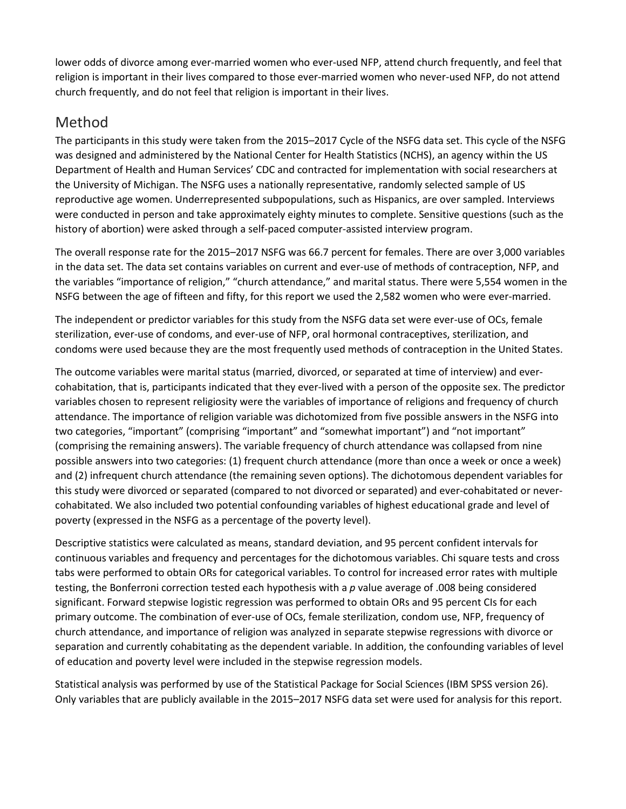lower odds of divorce among ever-married women who ever-used NFP, attend church frequently, and feel that religion is important in their lives compared to those ever-married women who never-used NFP, do not attend church frequently, and do not feel that religion is important in their lives.

# Method

The participants in this study were taken from the 2015–2017 Cycle of the NSFG data set. This cycle of the NSFG was designed and administered by the National Center for Health Statistics (NCHS), an agency within the US Department of Health and Human Services' CDC and contracted for implementation with social researchers at the University of Michigan. The NSFG uses a nationally representative, randomly selected sample of US reproductive age women. Underrepresented subpopulations, such as Hispanics, are over sampled. Interviews were conducted in person and take approximately eighty minutes to complete. Sensitive questions (such as the history of abortion) were asked through a self-paced computer-assisted interview program.

The overall response rate for the 2015–2017 NSFG was 66.7 percent for females. There are over 3,000 variables in the data set. The data set contains variables on current and ever-use of methods of contraception, NFP, and the variables "importance of religion," "church attendance," and marital status. There were 5,554 women in the NSFG between the age of fifteen and fifty, for this report we used the 2,582 women who were ever-married.

The independent or predictor variables for this study from the NSFG data set were ever-use of OCs, female sterilization, ever-use of condoms, and ever-use of NFP, oral hormonal contraceptives, sterilization, and condoms were used because they are the most frequently used methods of contraception in the United States.

The outcome variables were marital status (married, divorced, or separated at time of interview) and evercohabitation, that is, participants indicated that they ever-lived with a person of the opposite sex. The predictor variables chosen to represent religiosity were the variables of importance of religions and frequency of church attendance. The importance of religion variable was dichotomized from five possible answers in the NSFG into two categories, "important" (comprising "important" and "somewhat important") and "not important" (comprising the remaining answers). The variable frequency of church attendance was collapsed from nine possible answers into two categories: (1) frequent church attendance (more than once a week or once a week) and (2) infrequent church attendance (the remaining seven options). The dichotomous dependent variables for this study were divorced or separated (compared to not divorced or separated) and ever-cohabitated or nevercohabitated. We also included two potential confounding variables of highest educational grade and level of poverty (expressed in the NSFG as a percentage of the poverty level).

Descriptive statistics were calculated as means, standard deviation, and 95 percent confident intervals for continuous variables and frequency and percentages for the dichotomous variables. Chi square tests and cross tabs were performed to obtain ORs for categorical variables. To control for increased error rates with multiple testing, the Bonferroni correction tested each hypothesis with a *p* value average of .008 being considered significant. Forward stepwise logistic regression was performed to obtain ORs and 95 percent CIs for each primary outcome. The combination of ever-use of OCs, female sterilization, condom use, NFP, frequency of church attendance, and importance of religion was analyzed in separate stepwise regressions with divorce or separation and currently cohabitating as the dependent variable. In addition, the confounding variables of level of education and poverty level were included in the stepwise regression models.

Statistical analysis was performed by use of the Statistical Package for Social Sciences (IBM SPSS version 26). Only variables that are publicly available in the 2015–2017 NSFG data set were used for analysis for this report.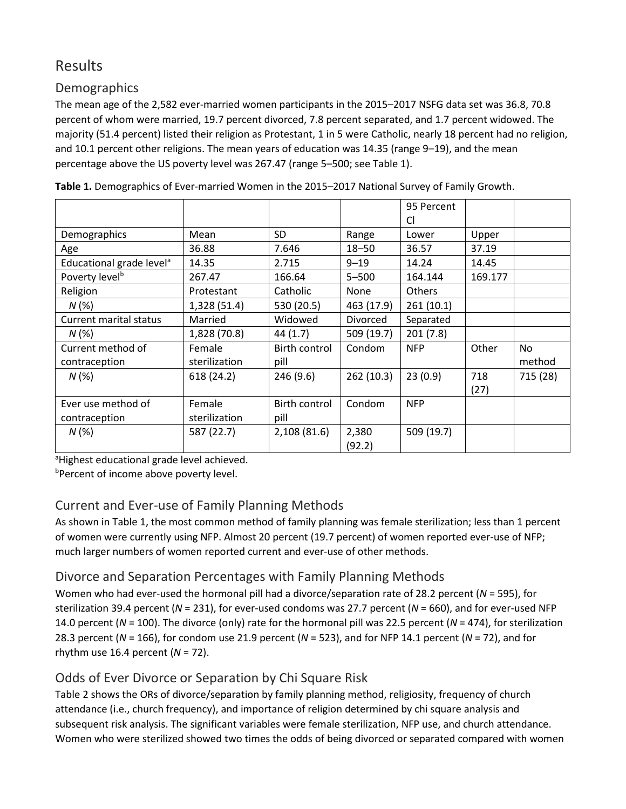# Results

### **Demographics**

The mean age of the 2,582 ever-married women participants in the 2015–2017 NSFG data set was 36.8, 70.8 percent of whom were married, 19.7 percent divorced, 7.8 percent separated, and 1.7 percent widowed. The majority (51.4 percent) listed their religion as Protestant, 1 in 5 were Catholic, nearly 18 percent had no religion, and 10.1 percent other religions. The mean years of education was 14.35 (range 9–19), and the mean percentage above the US poverty level was 267.47 (range 5–500; see Table 1).

|                                      |               |               |                 | 95 Percent |         |           |
|--------------------------------------|---------------|---------------|-----------------|------------|---------|-----------|
|                                      |               |               |                 | Cl         |         |           |
| Demographics                         | Mean          | <b>SD</b>     | Range           | Lower      | Upper   |           |
| Age                                  | 36.88         | 7.646         | $18 - 50$       | 36.57      | 37.19   |           |
| Educational grade level <sup>a</sup> | 14.35         | 2.715         | $9 - 19$        | 14.24      | 14.45   |           |
| Poverty level <sup>b</sup>           | 267.47        | 166.64        | $5 - 500$       | 164.144    | 169.177 |           |
| Religion                             | Protestant    | Catholic      | None            | Others     |         |           |
| N(%)                                 | 1,328 (51.4)  | 530 (20.5)    | 463 (17.9)      | 261(10.1)  |         |           |
| <b>Current marital status</b>        | Married       | Widowed       | <b>Divorced</b> | Separated  |         |           |
| N(%)                                 | 1,828 (70.8)  | 44 (1.7)      | 509 (19.7)      | 201(7.8)   |         |           |
| Current method of                    | Female        | Birth control | Condom          | <b>NFP</b> | Other   | <b>No</b> |
| contraception                        | sterilization | pill          |                 |            |         | method    |
| N(%)                                 | 618 (24.2)    | 246 (9.6)     | 262 (10.3)      | 23(0.9)    | 718     | 715 (28)  |
|                                      |               |               |                 |            | (27)    |           |
| Ever use method of                   | Female        | Birth control | Condom          | <b>NFP</b> |         |           |
| contraception                        | sterilization | pill          |                 |            |         |           |
| N(%)                                 | 587 (22.7)    | 2,108 (81.6)  | 2,380           | 509 (19.7) |         |           |
|                                      |               |               | (92.2)          |            |         |           |

**Table 1.** Demographics of Ever-married Women in the 2015–2017 National Survey of Family Growth.

<sup>a</sup>Highest educational grade level achieved.

**Percent of income above poverty level.** 

### Current and Ever-use of Family Planning Methods

As shown in Table 1, the most common method of family planning was female sterilization; less than 1 percent of women were currently using NFP. Almost 20 percent (19.7 percent) of women reported ever-use of NFP; much larger numbers of women reported current and ever-use of other methods.

### Divorce and Separation Percentages with Family Planning Methods

Women who had ever-used the hormonal pill had a divorce/separation rate of 28.2 percent (*N* = 595), for sterilization 39.4 percent (*N* = 231), for ever-used condoms was 27.7 percent (*N* = 660), and for ever-used NFP 14.0 percent (*N* = 100). The divorce (only) rate for the hormonal pill was 22.5 percent (*N* = 474), for sterilization 28.3 percent (*N* = 166), for condom use 21.9 percent (*N* = 523), and for NFP 14.1 percent (*N* = 72), and for rhythm use 16.4 percent (*N* = 72).

### Odds of Ever Divorce or Separation by Chi Square Risk

Table 2 shows the ORs of divorce/separation by family planning method, religiosity, frequency of church attendance (i.e., church frequency), and importance of religion determined by chi square analysis and subsequent risk analysis. The significant variables were female sterilization, NFP use, and church attendance. Women who were sterilized showed two times the odds of being divorced or separated compared with women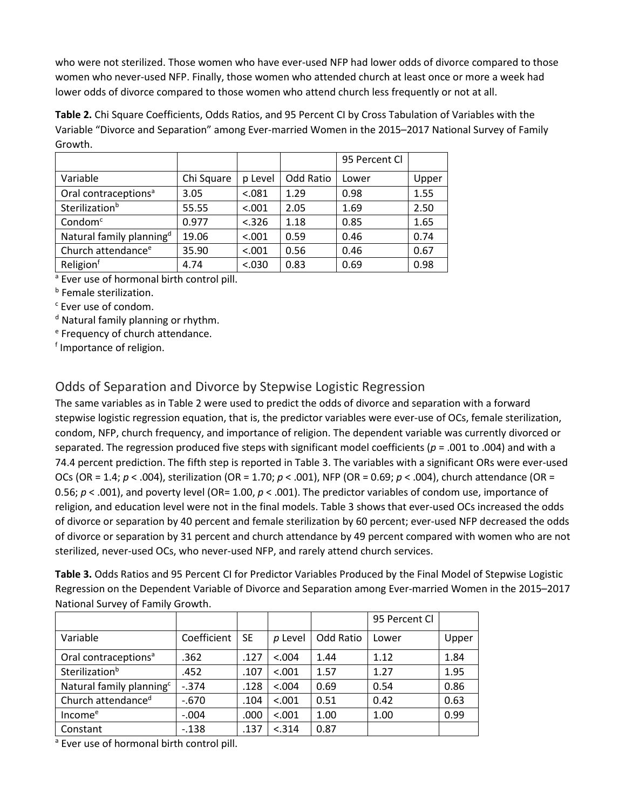who were not sterilized. Those women who have ever-used NFP had lower odds of divorce compared to those women who never-used NFP. Finally, those women who attended church at least once or more a week had lower odds of divorce compared to those women who attend church less frequently or not at all.

**Table 2.** Chi Square Coefficients, Odds Ratios, and 95 Percent CI by Cross Tabulation of Variables with the Variable "Divorce and Separation" among Ever-married Women in the 2015–2017 National Survey of Family Growth.

|                                      |            |         |           | 95 Percent Cl |       |
|--------------------------------------|------------|---------|-----------|---------------|-------|
| Variable                             | Chi Square | p Level | Odd Ratio | Lower         | Upper |
| Oral contraceptions <sup>a</sup>     | 3.05       | < .081  | 1.29      | 0.98          | 1.55  |
| Sterilization <sup>b</sup>           | 55.55      | < .001  | 2.05      | 1.69          | 2.50  |
| Condom <sup>c</sup>                  | 0.977      | < .326  | 1.18      | 0.85          | 1.65  |
| Natural family planning <sup>d</sup> | 19.06      | < .001  | 0.59      | 0.46          | 0.74  |
| Church attendance <sup>e</sup>       | 35.90      | < .001  | 0.56      | 0.46          | 0.67  |
| Religion <sup>f</sup>                | 4.74       | < .030  | 0.83      | 0.69          | 0.98  |

<sup>a</sup> Ever use of hormonal birth control pill.

**b** Female sterilization.

<sup>c</sup> Ever use of condom.

d Natural family planning or rhythm.

<sup>e</sup> Frequency of church attendance.

<sup>f</sup> Importance of religion.

### Odds of Separation and Divorce by Stepwise Logistic Regression

The same variables as in Table 2 were used to predict the odds of divorce and separation with a forward stepwise logistic regression equation, that is, the predictor variables were ever-use of OCs, female sterilization, condom, NFP, church frequency, and importance of religion. The dependent variable was currently divorced or separated. The regression produced five steps with significant model coefficients (*p* = .001 to .004) and with a 74.4 percent prediction. The fifth step is reported in Table 3. The variables with a significant ORs were ever-used OCs (OR = 1.4; *p* < .004), sterilization (OR = 1.70; *p* < .001), NFP (OR = 0.69; *p* < .004), church attendance (OR = 0.56; *p* < .001), and poverty level (OR= 1.00, *p* < .001). The predictor variables of condom use, importance of religion, and education level were not in the final models. Table 3 shows that ever-used OCs increased the odds of divorce or separation by 40 percent and female sterilization by 60 percent; ever-used NFP decreased the odds of divorce or separation by 31 percent and church attendance by 49 percent compared with women who are not sterilized, never-used OCs, who never-used NFP, and rarely attend church services.

**Table 3.** Odds Ratios and 95 Percent CI for Predictor Variables Produced by the Final Model of Stepwise Logistic Regression on the Dependent Variable of Divorce and Separation among Ever-married Women in the 2015–2017 National Survey of Family Growth.

|                                      |             |           |         |           | 95 Percent Cl |       |
|--------------------------------------|-------------|-----------|---------|-----------|---------------|-------|
| Variable                             | Coefficient | <b>SE</b> | p Level | Odd Ratio | Lower         | Upper |
| Oral contraceptions <sup>a</sup>     | .362        | .127      | < 0.004 | 1.44      | 1.12          | 1.84  |
| Sterilization <sup>b</sup>           | .452        | .107      | < .001  | 1.57      | 1.27          | 1.95  |
| Natural family planning <sup>c</sup> | $-.374$     | .128      | < 0.004 | 0.69      | 0.54          | 0.86  |
| Church attendance <sup>d</sup>       | $-.670$     | .104      | < .001  | 0.51      | 0.42          | 0.63  |
| Income <sup>e</sup>                  | $-.004$     | .000      | < .001  | 1.00      | 1.00          | 0.99  |
| Constant                             | $-.138$     | .137      | < .314  | 0.87      |               |       |

<sup>a</sup> Ever use of hormonal birth control pill.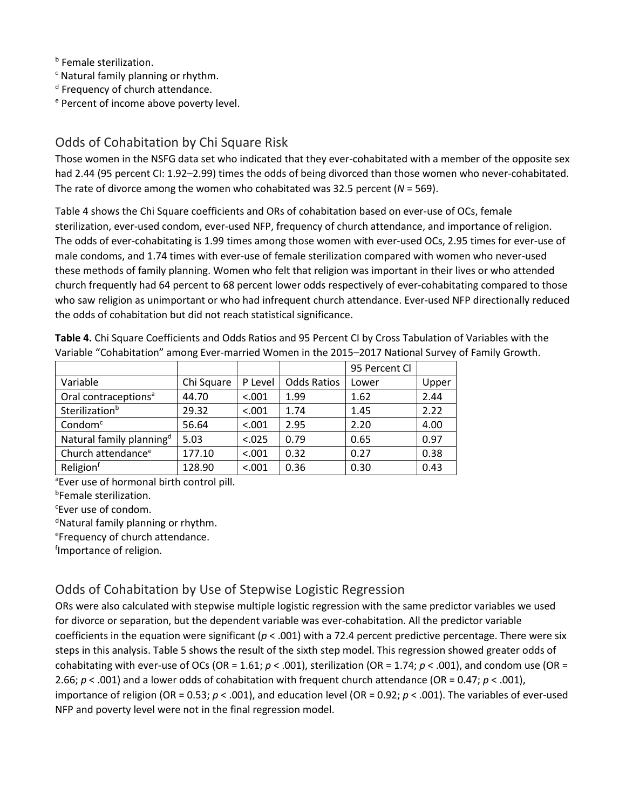**b** Female sterilization.

<sup>c</sup> Natural family planning or rhythm.

<sup>d</sup> Frequency of church attendance.

<sup>e</sup> Percent of income above poverty level.

### Odds of Cohabitation by Chi Square Risk

Those women in the NSFG data set who indicated that they ever-cohabitated with a member of the opposite sex had 2.44 (95 percent CI: 1.92-2.99) times the odds of being divorced than those women who never-cohabitated. The rate of divorce among the women who cohabitated was 32.5 percent (*N* = 569).

Table 4 shows the Chi Square coefficients and ORs of cohabitation based on ever-use of OCs, female sterilization, ever-used condom, ever-used NFP, frequency of church attendance, and importance of religion. The odds of ever-cohabitating is 1.99 times among those women with ever-used OCs, 2.95 times for ever-use of male condoms, and 1.74 times with ever-use of female sterilization compared with women who never-used these methods of family planning. Women who felt that religion was important in their lives or who attended church frequently had 64 percent to 68 percent lower odds respectively of ever-cohabitating compared to those who saw religion as unimportant or who had infrequent church attendance. Ever-used NFP directionally reduced the odds of cohabitation but did not reach statistical significance.

**Table 4.** Chi Square Coefficients and Odds Ratios and 95 Percent CI by Cross Tabulation of Variables with the Variable "Cohabitation" among Ever-married Women in the 2015–2017 National Survey of Family Growth.

|                                      |            |         |                    | 95 Percent Cl |       |
|--------------------------------------|------------|---------|--------------------|---------------|-------|
| Variable                             | Chi Square | P Level | <b>Odds Ratios</b> | Lower         | Upper |
| Oral contraceptions <sup>a</sup>     | 44.70      | < .001  | 1.99               | 1.62          | 2.44  |
| Sterilization <sup>b</sup>           | 29.32      | < .001  | 1.74               | 1.45          | 2.22  |
| Condom <sup>c</sup>                  | 56.64      | < .001  | 2.95               | 2.20          | 4.00  |
| Natural family planning <sup>d</sup> | 5.03       | < .025  | 0.79               | 0.65          | 0.97  |
| Church attendance <sup>e</sup>       | 177.10     | < .001  | 0.32               | 0.27          | 0.38  |
| Religionf                            | 128.90     | < .001  | 0.36               | 0.30          | 0.43  |

<sup>a</sup>Ever use of hormonal birth control pill.

b Female sterilization.

c Ever use of condom.

dNatural family planning or rhythm.

e Frequency of church attendance.

fImportance of religion.

### Odds of Cohabitation by Use of Stepwise Logistic Regression

ORs were also calculated with stepwise multiple logistic regression with the same predictor variables we used for divorce or separation, but the dependent variable was ever-cohabitation. All the predictor variable coefficients in the equation were significant (*p* < .001) with a 72.4 percent predictive percentage. There were six steps in this analysis. Table 5 shows the result of the sixth step model. This regression showed greater odds of cohabitating with ever-use of OCs (OR = 1.61;  $p < .001$ ), sterilization (OR = 1.74;  $p < .001$ ), and condom use (OR = 2.66;  $p < .001$ ) and a lower odds of cohabitation with frequent church attendance (OR = 0.47;  $p < .001$ ), importance of religion (OR = 0.53; *p* < .001), and education level (OR = 0.92; *p* < .001). The variables of ever-used NFP and poverty level were not in the final regression model.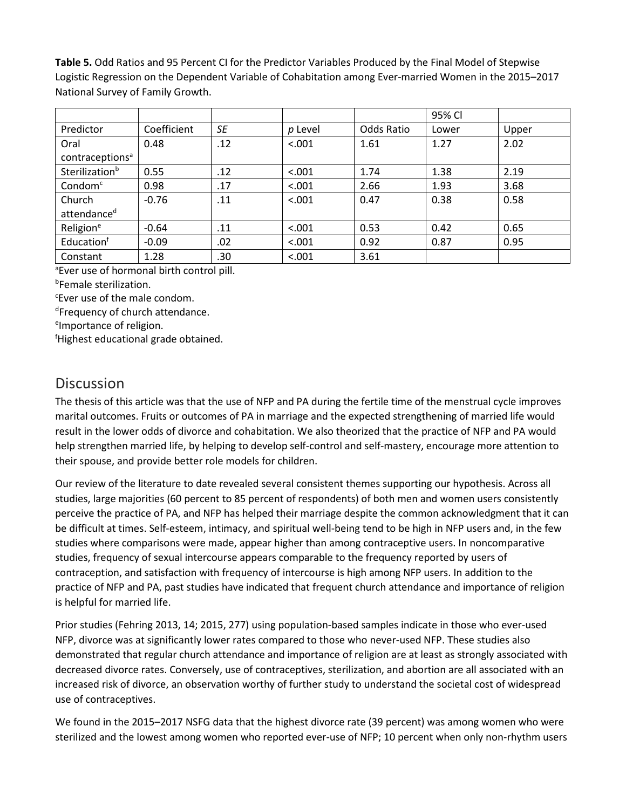**Table 5.** Odd Ratios and 95 Percent CI for the Predictor Variables Produced by the Final Model of Stepwise Logistic Regression on the Dependent Variable of Cohabitation among Ever-married Women in the 2015–2017 National Survey of Family Growth.

|                             |             |           |         |            | 95% CI |       |
|-----------------------------|-------------|-----------|---------|------------|--------|-------|
| Predictor                   | Coefficient | <b>SE</b> | p Level | Odds Ratio | Lower  | Upper |
| Oral                        | 0.48        | .12       | < .001  | 1.61       | 1.27   | 2.02  |
| contraceptions <sup>a</sup> |             |           |         |            |        |       |
| Sterilization <sup>b</sup>  | 0.55        | .12       | < .001  | 1.74       | 1.38   | 2.19  |
| Condom <sup>c</sup>         | 0.98        | .17       | < .001  | 2.66       | 1.93   | 3.68  |
| Church                      | $-0.76$     | .11       | < .001  | 0.47       | 0.38   | 0.58  |
| attendance <sup>d</sup>     |             |           |         |            |        |       |
| Religion <sup>e</sup>       | $-0.64$     | .11       | < .001  | 0.53       | 0.42   | 0.65  |
| Educationf                  | $-0.09$     | .02       | < .001  | 0.92       | 0.87   | 0.95  |
| Constant                    | 1.28        | .30       | < .001  | 3.61       |        |       |

a Ever use of hormonal birth control pill.

b Female sterilization.

c Ever use of the male condom.

dFrequency of church attendance.

eImportance of religion.

f Highest educational grade obtained.

### **Discussion**

The thesis of this article was that the use of NFP and PA during the fertile time of the menstrual cycle improves marital outcomes. Fruits or outcomes of PA in marriage and the expected strengthening of married life would result in the lower odds of divorce and cohabitation. We also theorized that the practice of NFP and PA would help strengthen married life, by helping to develop self-control and self-mastery, encourage more attention to their spouse, and provide better role models for children.

Our review of the literature to date revealed several consistent themes supporting our hypothesis. Across all studies, large majorities (60 percent to 85 percent of respondents) of both men and women users consistently perceive the practice of PA, and NFP has helped their marriage despite the common acknowledgment that it can be difficult at times. Self-esteem, intimacy, and spiritual well-being tend to be high in NFP users and, in the few studies where comparisons were made, appear higher than among contraceptive users. In noncomparative studies, frequency of sexual intercourse appears comparable to the frequency reported by users of contraception, and satisfaction with frequency of intercourse is high among NFP users. In addition to the practice of NFP and PA, past studies have indicated that frequent church attendance and importance of religion is helpful for married life.

Prior studies (Fehring 2013, 14; 2015, 277) using population-based samples indicate in those who ever-used NFP, divorce was at significantly lower rates compared to those who never-used NFP. These studies also demonstrated that regular church attendance and importance of religion are at least as strongly associated with decreased divorce rates. Conversely, use of contraceptives, sterilization, and abortion are all associated with an increased risk of divorce, an observation worthy of further study to understand the societal cost of widespread use of contraceptives.

We found in the 2015–2017 NSFG data that the highest divorce rate (39 percent) was among women who were sterilized and the lowest among women who reported ever-use of NFP; 10 percent when only non-rhythm users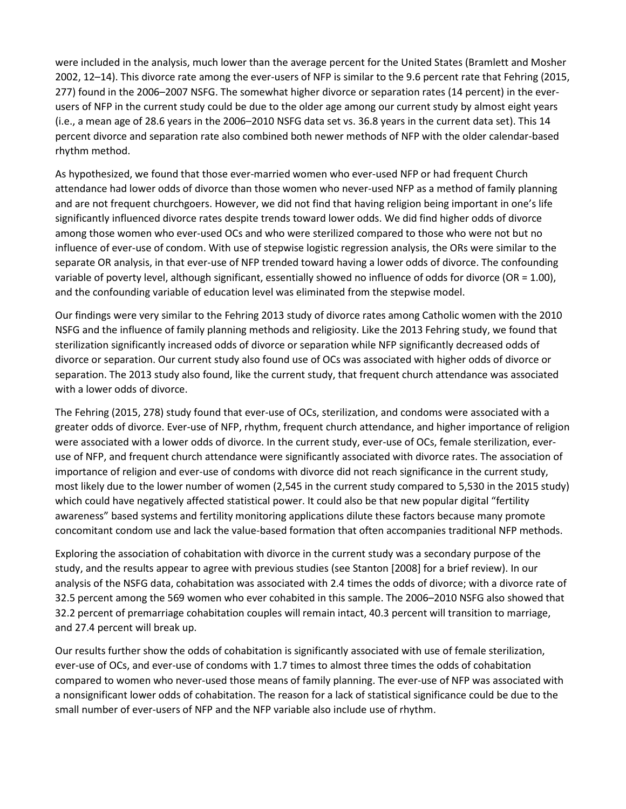were included in the analysis, much lower than the average percent for the United States (Bramlett and Mosher 2002, 12–14). This divorce rate among the ever-users of NFP is similar to the 9.6 percent rate that Fehring (2015, 277) found in the 2006–2007 NSFG. The somewhat higher divorce or separation rates (14 percent) in the everusers of NFP in the current study could be due to the older age among our current study by almost eight years (i.e., a mean age of 28.6 years in the 2006–2010 NSFG data set vs. 36.8 years in the current data set). This 14 percent divorce and separation rate also combined both newer methods of NFP with the older calendar-based rhythm method.

As hypothesized, we found that those ever-married women who ever-used NFP or had frequent Church attendance had lower odds of divorce than those women who never-used NFP as a method of family planning and are not frequent churchgoers. However, we did not find that having religion being important in one's life significantly influenced divorce rates despite trends toward lower odds. We did find higher odds of divorce among those women who ever-used OCs and who were sterilized compared to those who were not but no influence of ever-use of condom. With use of stepwise logistic regression analysis, the ORs were similar to the separate OR analysis, in that ever-use of NFP trended toward having a lower odds of divorce. The confounding variable of poverty level, although significant, essentially showed no influence of odds for divorce (OR = 1.00), and the confounding variable of education level was eliminated from the stepwise model.

Our findings were very similar to the Fehring 2013 study of divorce rates among Catholic women with the 2010 NSFG and the influence of family planning methods and religiosity. Like the 2013 Fehring study, we found that sterilization significantly increased odds of divorce or separation while NFP significantly decreased odds of divorce or separation. Our current study also found use of OCs was associated with higher odds of divorce or separation. The 2013 study also found, like the current study, that frequent church attendance was associated with a lower odds of divorce.

The Fehring (2015, 278) study found that ever-use of OCs, sterilization, and condoms were associated with a greater odds of divorce. Ever-use of NFP, rhythm, frequent church attendance, and higher importance of religion were associated with a lower odds of divorce. In the current study, ever-use of OCs, female sterilization, everuse of NFP, and frequent church attendance were significantly associated with divorce rates. The association of importance of religion and ever-use of condoms with divorce did not reach significance in the current study, most likely due to the lower number of women (2,545 in the current study compared to 5,530 in the 2015 study) which could have negatively affected statistical power. It could also be that new popular digital "fertility awareness" based systems and fertility monitoring applications dilute these factors because many promote concomitant condom use and lack the value-based formation that often accompanies traditional NFP methods.

Exploring the association of cohabitation with divorce in the current study was a secondary purpose of the study, and the results appear to agree with previous studies (see Stanton [2008] for a brief review). In our analysis of the NSFG data, cohabitation was associated with 2.4 times the odds of divorce; with a divorce rate of 32.5 percent among the 569 women who ever cohabited in this sample. The 2006–2010 NSFG also showed that 32.2 percent of premarriage cohabitation couples will remain intact, 40.3 percent will transition to marriage, and 27.4 percent will break up.

Our results further show the odds of cohabitation is significantly associated with use of female sterilization, ever-use of OCs, and ever-use of condoms with 1.7 times to almost three times the odds of cohabitation compared to women who never-used those means of family planning. The ever-use of NFP was associated with a nonsignificant lower odds of cohabitation. The reason for a lack of statistical significance could be due to the small number of ever-users of NFP and the NFP variable also include use of rhythm.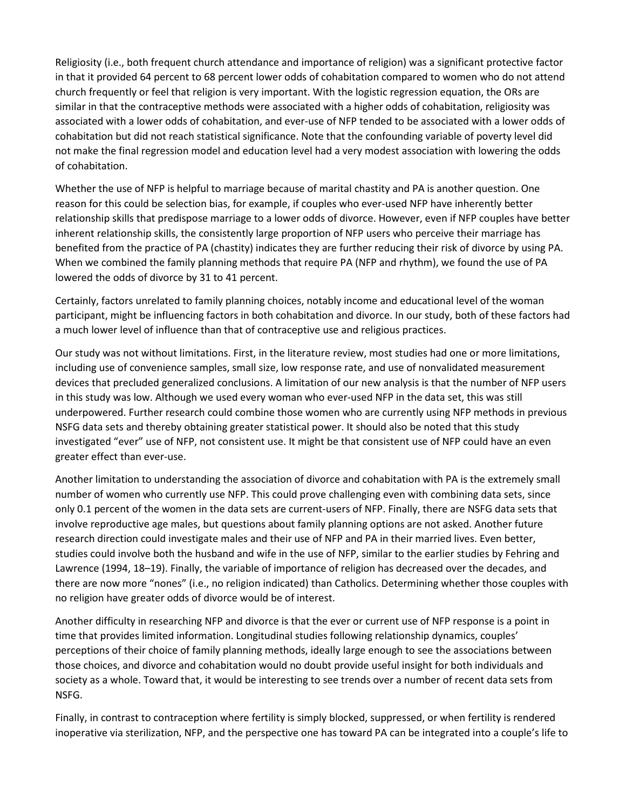Religiosity (i.e., both frequent church attendance and importance of religion) was a significant protective factor in that it provided 64 percent to 68 percent lower odds of cohabitation compared to women who do not attend church frequently or feel that religion is very important. With the logistic regression equation, the ORs are similar in that the contraceptive methods were associated with a higher odds of cohabitation, religiosity was associated with a lower odds of cohabitation, and ever-use of NFP tended to be associated with a lower odds of cohabitation but did not reach statistical significance. Note that the confounding variable of poverty level did not make the final regression model and education level had a very modest association with lowering the odds of cohabitation.

Whether the use of NFP is helpful to marriage because of marital chastity and PA is another question. One reason for this could be selection bias, for example, if couples who ever-used NFP have inherently better relationship skills that predispose marriage to a lower odds of divorce. However, even if NFP couples have better inherent relationship skills, the consistently large proportion of NFP users who perceive their marriage has benefited from the practice of PA (chastity) indicates they are further reducing their risk of divorce by using PA. When we combined the family planning methods that require PA (NFP and rhythm), we found the use of PA lowered the odds of divorce by 31 to 41 percent.

Certainly, factors unrelated to family planning choices, notably income and educational level of the woman participant, might be influencing factors in both cohabitation and divorce. In our study, both of these factors had a much lower level of influence than that of contraceptive use and religious practices.

Our study was not without limitations. First, in the literature review, most studies had one or more limitations, including use of convenience samples, small size, low response rate, and use of nonvalidated measurement devices that precluded generalized conclusions. A limitation of our new analysis is that the number of NFP users in this study was low. Although we used every woman who ever-used NFP in the data set, this was still underpowered. Further research could combine those women who are currently using NFP methods in previous NSFG data sets and thereby obtaining greater statistical power. It should also be noted that this study investigated "ever" use of NFP, not consistent use. It might be that consistent use of NFP could have an even greater effect than ever-use.

Another limitation to understanding the association of divorce and cohabitation with PA is the extremely small number of women who currently use NFP. This could prove challenging even with combining data sets, since only 0.1 percent of the women in the data sets are current-users of NFP. Finally, there are NSFG data sets that involve reproductive age males, but questions about family planning options are not asked. Another future research direction could investigate males and their use of NFP and PA in their married lives. Even better, studies could involve both the husband and wife in the use of NFP, similar to the earlier studies by Fehring and Lawrence (1994, 18–19). Finally, the variable of importance of religion has decreased over the decades, and there are now more "nones" (i.e., no religion indicated) than Catholics. Determining whether those couples with no religion have greater odds of divorce would be of interest.

Another difficulty in researching NFP and divorce is that the ever or current use of NFP response is a point in time that provides limited information. Longitudinal studies following relationship dynamics, couples' perceptions of their choice of family planning methods, ideally large enough to see the associations between those choices, and divorce and cohabitation would no doubt provide useful insight for both individuals and society as a whole. Toward that, it would be interesting to see trends over a number of recent data sets from NSFG.

Finally, in contrast to contraception where fertility is simply blocked, suppressed, or when fertility is rendered inoperative via sterilization, NFP, and the perspective one has toward PA can be integrated into a couple's life to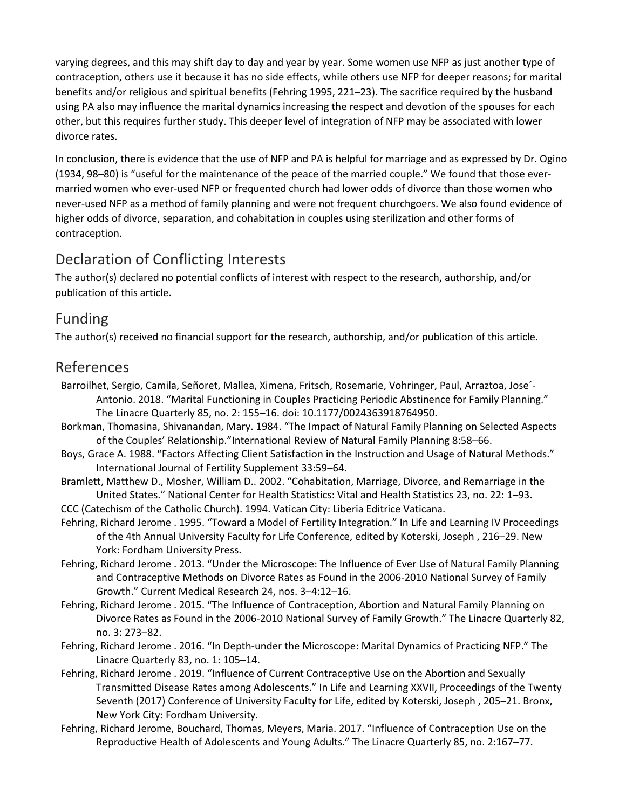varying degrees, and this may shift day to day and year by year. Some women use NFP as just another type of contraception, others use it because it has no side effects, while others use NFP for deeper reasons; for marital benefits and/or religious and spiritual benefits (Fehring 1995, 221–23). The sacrifice required by the husband using PA also may influence the marital dynamics increasing the respect and devotion of the spouses for each other, but this requires further study. This deeper level of integration of NFP may be associated with lower divorce rates.

In conclusion, there is evidence that the use of NFP and PA is helpful for marriage and as expressed by Dr. Ogino (1934, 98–80) is "useful for the maintenance of the peace of the married couple." We found that those evermarried women who ever-used NFP or frequented church had lower odds of divorce than those women who never-used NFP as a method of family planning and were not frequent churchgoers. We also found evidence of higher odds of divorce, separation, and cohabitation in couples using sterilization and other forms of contraception.

# Declaration of Conflicting Interests

The author(s) declared no potential conflicts of interest with respect to the research, authorship, and/or publication of this article.

# Funding

The author(s) received no financial support for the research, authorship, and/or publication of this article.

# References

- Barroilhet, Sergio, Camila, Señoret, Mallea, Ximena, Fritsch, Rosemarie, Vohringer, Paul, Arraztoa, Jose´- Antonio. 2018. "Marital Functioning in Couples Practicing Periodic Abstinence for Family Planning." The Linacre Quarterly 85, no. 2: 155–16. doi: 10.1177/0024363918764950.
- Borkman, Thomasina, Shivanandan, Mary. 1984. "The Impact of Natural Family Planning on Selected Aspects of the Couples' Relationship."International Review of Natural Family Planning 8:58–66.
- Boys, Grace A. 1988. "Factors Affecting Client Satisfaction in the Instruction and Usage of Natural Methods." International Journal of Fertility Supplement 33:59–64.
- Bramlett, Matthew D., Mosher, William D.. 2002. "Cohabitation, Marriage, Divorce, and Remarriage in the United States." National Center for Health Statistics: Vital and Health Statistics 23, no. 22: 1–93.
- CCC (Catechism of the Catholic Church). 1994. Vatican City: Liberia Editrice Vaticana.
- Fehring, Richard Jerome . 1995. "Toward a Model of Fertility Integration." In Life and Learning IV Proceedings of the 4th Annual University Faculty for Life Conference, edited by Koterski, Joseph , 216–29. New York: Fordham University Press.
- Fehring, Richard Jerome . 2013. "Under the Microscope: The Influence of Ever Use of Natural Family Planning and Contraceptive Methods on Divorce Rates as Found in the 2006-2010 National Survey of Family Growth." Current Medical Research 24, nos. 3–4:12–16.
- Fehring, Richard Jerome . 2015. "The Influence of Contraception, Abortion and Natural Family Planning on Divorce Rates as Found in the 2006-2010 National Survey of Family Growth." The Linacre Quarterly 82, no. 3: 273–82.
- Fehring, Richard Jerome . 2016. "In Depth-under the Microscope: Marital Dynamics of Practicing NFP." The Linacre Quarterly 83, no. 1: 105–14.
- Fehring, Richard Jerome . 2019. "Influence of Current Contraceptive Use on the Abortion and Sexually Transmitted Disease Rates among Adolescents." In Life and Learning XXVII, Proceedings of the Twenty Seventh (2017) Conference of University Faculty for Life, edited by Koterski, Joseph , 205–21. Bronx, New York City: Fordham University.
- Fehring, Richard Jerome, Bouchard, Thomas, Meyers, Maria. 2017. "Influence of Contraception Use on the Reproductive Health of Adolescents and Young Adults." The Linacre Quarterly 85, no. 2:167–77.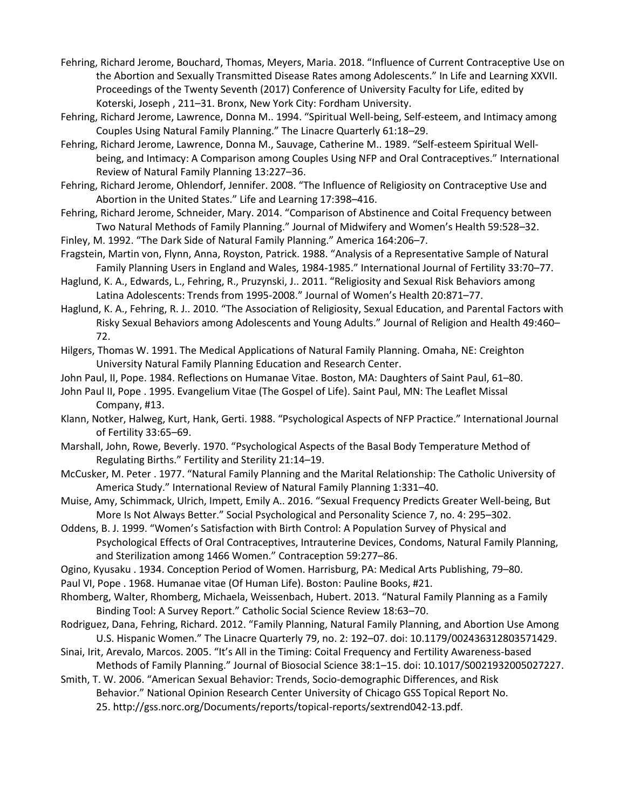- Fehring, Richard Jerome, Bouchard, Thomas, Meyers, Maria. 2018. "Influence of Current Contraceptive Use on the Abortion and Sexually Transmitted Disease Rates among Adolescents." In Life and Learning XXVII. Proceedings of the Twenty Seventh (2017) Conference of University Faculty for Life, edited by Koterski, Joseph , 211–31. Bronx, New York City: Fordham University.
- Fehring, Richard Jerome, Lawrence, Donna M.. 1994. "Spiritual Well-being, Self-esteem, and Intimacy among Couples Using Natural Family Planning." The Linacre Quarterly 61:18–29.
- Fehring, Richard Jerome, Lawrence, Donna M., Sauvage, Catherine M.. 1989. "Self-esteem Spiritual Wellbeing, and Intimacy: A Comparison among Couples Using NFP and Oral Contraceptives." International Review of Natural Family Planning 13:227–36.
- Fehring, Richard Jerome, Ohlendorf, Jennifer. 2008. "The Influence of Religiosity on Contraceptive Use and Abortion in the United States." Life and Learning 17:398–416.
- Fehring, Richard Jerome, Schneider, Mary. 2014. "Comparison of Abstinence and Coital Frequency between Two Natural Methods of Family Planning." Journal of Midwifery and Women's Health 59:528–32.
- Finley, M. 1992. "The Dark Side of Natural Family Planning." America 164:206–7.
- Fragstein, Martin von, Flynn, Anna, Royston, Patrick. 1988. "Analysis of a Representative Sample of Natural Family Planning Users in England and Wales, 1984-1985." International Journal of Fertility 33:70–77.
- Haglund, K. A., Edwards, L., Fehring, R., Pruzynski, J.. 2011. "Religiosity and Sexual Risk Behaviors among Latina Adolescents: Trends from 1995-2008." Journal of Women's Health 20:871–77.
- Haglund, K. A., Fehring, R. J.. 2010. "The Association of Religiosity, Sexual Education, and Parental Factors with Risky Sexual Behaviors among Adolescents and Young Adults." Journal of Religion and Health 49:460– 72.
- Hilgers, Thomas W. 1991. The Medical Applications of Natural Family Planning. Omaha, NE: Creighton University Natural Family Planning Education and Research Center.
- John Paul, II, Pope. 1984. Reflections on Humanae Vitae. Boston, MA: Daughters of Saint Paul, 61–80.
- John Paul II, Pope . 1995. Evangelium Vitae (The Gospel of Life). Saint Paul, MN: The Leaflet Missal Company, #13.
- Klann, Notker, Halweg, Kurt, Hank, Gerti. 1988. "Psychological Aspects of NFP Practice." International Journal of Fertility 33:65–69.
- Marshall, John, Rowe, Beverly. 1970. "Psychological Aspects of the Basal Body Temperature Method of Regulating Births." Fertility and Sterility 21:14–19.
- McCusker, M. Peter . 1977. "Natural Family Planning and the Marital Relationship: The Catholic University of America Study." International Review of Natural Family Planning 1:331–40.
- Muise, Amy, Schimmack, Ulrich, Impett, Emily A.. 2016. "Sexual Frequency Predicts Greater Well-being, But More Is Not Always Better." Social Psychological and Personality Science 7, no. 4: 295–302.
- Oddens, B. J. 1999. "Women's Satisfaction with Birth Control: A Population Survey of Physical and Psychological Effects of Oral Contraceptives, Intrauterine Devices, Condoms, Natural Family Planning, and Sterilization among 1466 Women." Contraception 59:277–86.
- Ogino, Kyusaku . 1934. Conception Period of Women. Harrisburg, PA: Medical Arts Publishing, 79–80.
- Paul VI, Pope . 1968. Humanae vitae (Of Human Life). Boston: Pauline Books, #21.
- Rhomberg, Walter, Rhomberg, Michaela, Weissenbach, Hubert. 2013. "Natural Family Planning as a Family Binding Tool: A Survey Report." Catholic Social Science Review 18:63–70.
- Rodriguez, Dana, Fehring, Richard. 2012. "Family Planning, Natural Family Planning, and Abortion Use Among U.S. Hispanic Women." The Linacre Quarterly 79, no. 2: 192–07. doi: 10.1179/002436312803571429.
- Sinai, Irit, Arevalo, Marcos. 2005. "It's All in the Timing: Coital Frequency and Fertility Awareness-based Methods of Family Planning." Journal of Biosocial Science 38:1–15. doi: 10.1017/S0021932005027227.
- Smith, T. W. 2006. "American Sexual Behavior: Trends, Socio-demographic Differences, and Risk Behavior." National Opinion Research Center University of Chicago GSS Topical Report No. 25. http://gss.norc.org/Documents/reports/topical-reports/sextrend042-13.pdf.